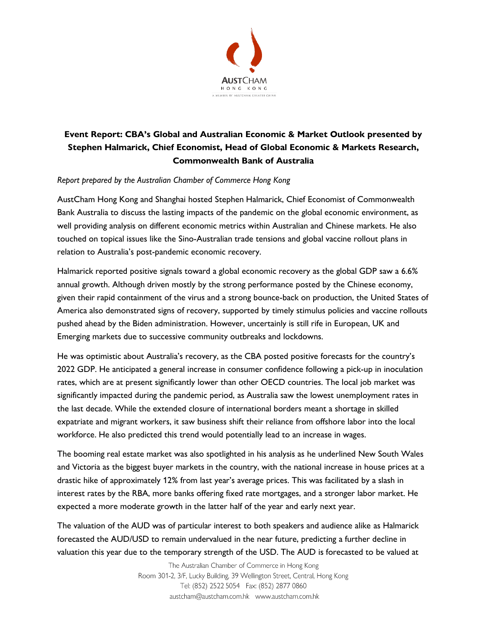

## **Event Report: CBA's Global and Australian Economic & Market Outlook presented by Stephen Halmarick, Chief Economist, Head of Global Economic & Markets Research, Commonwealth Bank of Australia**

## *Report prepared by the Australian Chamber of Commerce Hong Kong*

AustCham Hong Kong and Shanghai hosted Stephen Halmarick, Chief Economist of Commonwealth Bank Australia to discuss the lasting impacts of the pandemic on the global economic environment, as well providing analysis on different economic metrics within Australian and Chinese markets. He also touched on topical issues like the Sino-Australian trade tensions and global vaccine rollout plans in relation to Australia's post-pandemic economic recovery.

Halmarick reported positive signals toward a global economic recovery as the global GDP saw a 6.6% annual growth. Although driven mostly by the strong performance posted by the Chinese economy, given their rapid containment of the virus and a strong bounce-back on production, the United States of America also demonstrated signs of recovery, supported by timely stimulus policies and vaccine rollouts pushed ahead by the Biden administration. However, uncertainly is still rife in European, UK and Emerging markets due to successive community outbreaks and lockdowns.

He was optimistic about Australia's recovery, as the CBA posted positive forecasts for the country's 2022 GDP. He anticipated a general increase in consumer confidence following a pick-up in inoculation rates, which are at present significantly lower than other OECD countries. The local job market was significantly impacted during the pandemic period, as Australia saw the lowest unemployment rates in the last decade. While the extended closure of international borders meant a shortage in skilled expatriate and migrant workers, it saw business shift their reliance from offshore labor into the local workforce. He also predicted this trend would potentially lead to an increase in wages.

The booming real estate market was also spotlighted in his analysis as he underlined New South Wales and Victoria as the biggest buyer markets in the country, with the national increase in house prices at a drastic hike of approximately 12% from last year's average prices. This was facilitated by a slash in interest rates by the RBA, more banks offering fixed rate mortgages, and a stronger labor market. He expected a more moderate growth in the latter half of the year and early next year.

The valuation of the AUD was of particular interest to both speakers and audience alike as Halmarick forecasted the AUD/USD to remain undervalued in the near future, predicting a further decline in valuation this year due to the temporary strength of the USD. The AUD is forecasted to be valued at